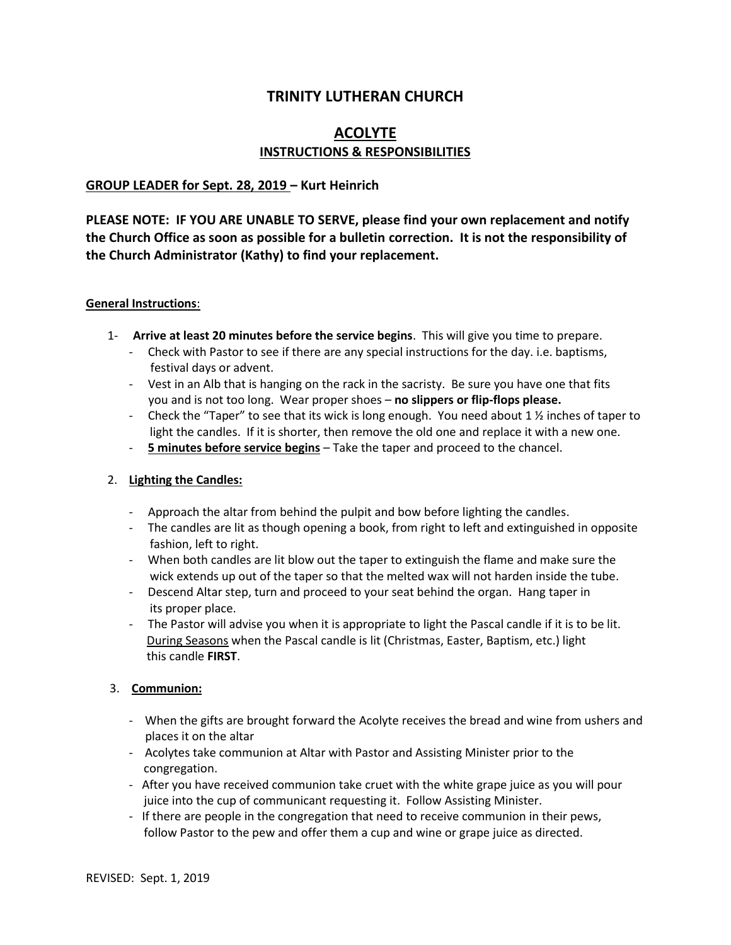# **TRINITY LUTHERAN CHURCH**

# **ACOLYTE INSTRUCTIONS & RESPONSIBILITIES**

### **GROUP LEADER for Sept. 28, 2019 – Kurt Heinrich**

**PLEASE NOTE: IF YOU ARE UNABLE TO SERVE, please find your own replacement and notify the Church Office as soon as possible for a bulletin correction. It is not the responsibility of the Church Administrator (Kathy) to find your replacement.**

#### **General Instructions**:

- 1- **Arrive at least 20 minutes before the service begins**. This will give you time to prepare.
	- Check with Pastor to see if there are any special instructions for the day. i.e. baptisms, festival days or advent.
	- Vest in an Alb that is hanging on the rack in the sacristy. Be sure you have one that fits you and is not too long. Wear proper shoes – **no slippers or flip-flops please.**
	- Check the "Taper" to see that its wick is long enough. You need about 1  $\frac{1}{2}$  inches of taper to light the candles. If it is shorter, then remove the old one and replace it with a new one.
	- **5 minutes before service begins** Take the taper and proceed to the chancel.

### 2. **Lighting the Candles:**

- Approach the altar from behind the pulpit and bow before lighting the candles.
- The candles are lit as though opening a book, from right to left and extinguished in opposite fashion, left to right.
- When both candles are lit blow out the taper to extinguish the flame and make sure the wick extends up out of the taper so that the melted wax will not harden inside the tube.
- Descend Altar step, turn and proceed to your seat behind the organ. Hang taper in its proper place.
- The Pastor will advise you when it is appropriate to light the Pascal candle if it is to be lit. During Seasons when the Pascal candle is lit (Christmas, Easter, Baptism, etc.) light this candle **FIRST**.

### 3. **Communion:**

- When the gifts are brought forward the Acolyte receives the bread and wine from ushers and places it on the altar
- Acolytes take communion at Altar with Pastor and Assisting Minister prior to the congregation.
- After you have received communion take cruet with the white grape juice as you will pour juice into the cup of communicant requesting it. Follow Assisting Minister.
- If there are people in the congregation that need to receive communion in their pews, follow Pastor to the pew and offer them a cup and wine or grape juice as directed.